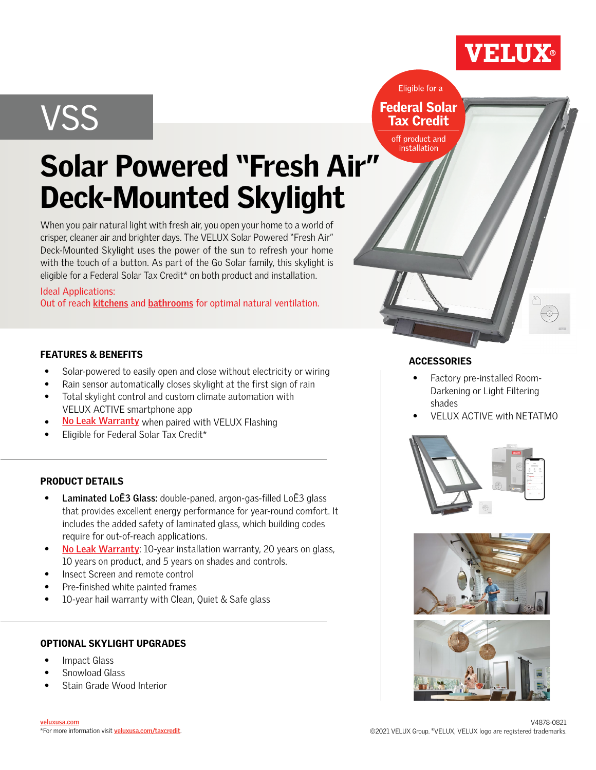## VSS

**Federal Solar Tax Credit** off product and

installation

Eligible for a

## Solar Powered "Fresh Air" Deck-Mounted Skylight

When you pair natural light with fresh air, you open your home to a world of crisper, cleaner air and brighter days. The VELUX Solar Powered "Fresh Air" Deck-Mounted Skylight uses the power of the sun to refresh your home with the touch of a button. As part of the Go Solar family, this skylight is eligible for a Federal Solar Tax Credit\* on both product and installation.

#### Ideal Applications:

Outof reach **kitchens** and **bathrooms** for optimal natural ventilation.

#### FEATURES & BENEFITS

- Solar-powered to easily open and close without electricity or wiring
- Rain sensor automatically closes skylight at the first sign of rain
- Total skylight control and custom climate automation with VELUX ACTIVE smartphone app
- No Leak Warranty when paired with VELUX Flashing
- Eligible for Federal Solar Tax Credit\*

#### PRODUCT DETAILS

- **Laminated LoĒ3 Glass:** double-paned, argon-gas-filled LoĒ3 glass that provides excellent energy performance for year-round comfort. It includes the added safety of laminated glass, which building codes require for out-of-reach applications. **[No Leak Warranty](https://www.veluxusa.com/products/skylights/no-leak?utm_source=residential_sales_sheet&utm_medium=digital&utm_campaign=residential_sales_sheet&utm_term=2021&utm_content=vss)<br>Eligible for Federal S<br><b>DUCT DETAILS<br>Laminated LoĒ3 GI<br>that provides excelle<br>includes the added s<br>require for out-of-re<br><u>No Leak Warranty</u>:**
- No Leak Warranty: 10-year installation warranty, 20 years on glass, 10 years on product, and 5 years on shades and controls.
- Insect Screen and remote control
- Pre-finished white painted frames
- 10-year hail warranty with Clean, Quiet & Safe glass

#### OPTIONAL SKYLIGHT UPGRADES

- Impact Glass
- Snowload Glass
- Stain Grade Wood Interior

#### **ACCESSORIES**

- Factory pre-installed Room-Darkening or Light Filtering shades
- VELUX ACTIVE with NETATMO

VELUX